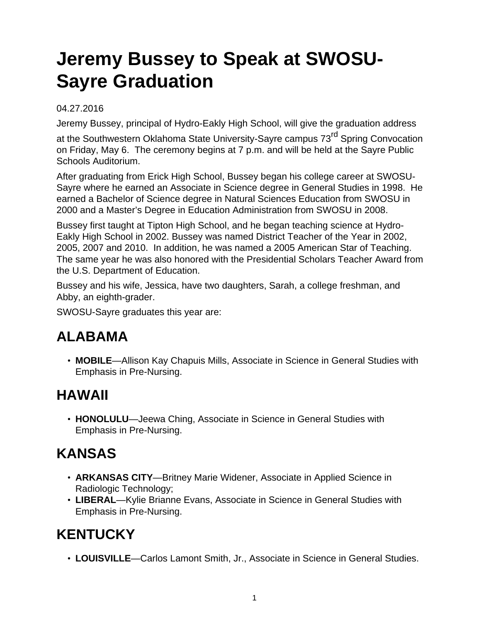# **Jeremy Bussey to Speak at SWOSU-Sayre Graduation**

#### 04.27.2016

Jeremy Bussey, principal of Hydro-Eakly High School, will give the graduation address

at the Southwestern Oklahoma State University-Sayre campus 73<sup>rd</sup> Spring Convocation on Friday, May 6. The ceremony begins at 7 p.m. and will be held at the Sayre Public Schools Auditorium.

After graduating from Erick High School, Bussey began his college career at SWOSU-Sayre where he earned an Associate in Science degree in General Studies in 1998. He earned a Bachelor of Science degree in Natural Sciences Education from SWOSU in 2000 and a Master's Degree in Education Administration from SWOSU in 2008.

Bussey first taught at Tipton High School, and he began teaching science at Hydro-Eakly High School in 2002. Bussey was named District Teacher of the Year in 2002, 2005, 2007 and 2010. In addition, he was named a 2005 American Star of Teaching. The same year he was also honored with the Presidential Scholars Teacher Award from the U.S. Department of Education.

Bussey and his wife, Jessica, have two daughters, Sarah, a college freshman, and Abby, an eighth-grader.

SWOSU-Sayre graduates this year are:

#### **ALABAMA**

• **MOBILE**—Allison Kay Chapuis Mills, Associate in Science in General Studies with Emphasis in Pre-Nursing.

#### **HAWAII**

• **HONOLULU**—Jeewa Ching, Associate in Science in General Studies with Emphasis in Pre-Nursing.

### **KANSAS**

- **ARKANSAS CITY**—Britney Marie Widener, Associate in Applied Science in Radiologic Technology;
- **LIBERAL**—Kylie Brianne Evans, Associate in Science in General Studies with Emphasis in Pre-Nursing.

#### **KENTUCKY**

• **LOUISVILLE**—Carlos Lamont Smith, Jr., Associate in Science in General Studies.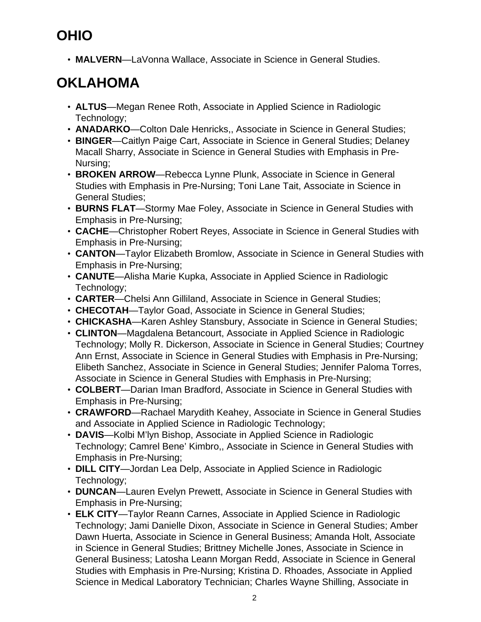# **OHIO**

• **MALVERN**—LaVonna Wallace, Associate in Science in General Studies.

# **OKLAHOMA**

- **ALTUS**—Megan Renee Roth, Associate in Applied Science in Radiologic Technology;
- **ANADARKO**—Colton Dale Henricks,, Associate in Science in General Studies;
- **BINGER**—Caitlyn Paige Cart, Associate in Science in General Studies; Delaney Macall Sharry, Associate in Science in General Studies with Emphasis in Pre-Nursing;
- **BROKEN ARROW**—Rebecca Lynne Plunk, Associate in Science in General Studies with Emphasis in Pre-Nursing; Toni Lane Tait, Associate in Science in General Studies;
- **BURNS FLAT**—Stormy Mae Foley, Associate in Science in General Studies with Emphasis in Pre-Nursing;
- **CACHE**—Christopher Robert Reyes, Associate in Science in General Studies with Emphasis in Pre-Nursing;
- **CANTON**—Taylor Elizabeth Bromlow, Associate in Science in General Studies with Emphasis in Pre-Nursing;
- **CANUTE**—Alisha Marie Kupka, Associate in Applied Science in Radiologic Technology;
- **CARTER**—Chelsi Ann Gilliland, Associate in Science in General Studies;
- **CHECOTAH**—Taylor Goad, Associate in Science in General Studies;
- **CHICKASHA**—Karen Ashley Stansbury, Associate in Science in General Studies;
- **CLINTON**—Magdalena Betancourt, Associate in Applied Science in Radiologic Technology; Molly R. Dickerson, Associate in Science in General Studies; Courtney Ann Ernst, Associate in Science in General Studies with Emphasis in Pre-Nursing; Elibeth Sanchez, Associate in Science in General Studies; Jennifer Paloma Torres, Associate in Science in General Studies with Emphasis in Pre-Nursing;
- **COLBERT**—Darian Iman Bradford, Associate in Science in General Studies with Emphasis in Pre-Nursing;
- **CRAWFORD**—Rachael Marydith Keahey, Associate in Science in General Studies and Associate in Applied Science in Radiologic Technology;
- **DAVIS**—Kolbi M'lyn Bishop, Associate in Applied Science in Radiologic Technology; Camrel Bene' Kimbro,, Associate in Science in General Studies with Emphasis in Pre-Nursing;
- **DILL CITY**—Jordan Lea Delp, Associate in Applied Science in Radiologic Technology;
- **DUNCAN**—Lauren Evelyn Prewett, Associate in Science in General Studies with Emphasis in Pre-Nursing;
- **ELK CITY**—Taylor Reann Carnes, Associate in Applied Science in Radiologic Technology; Jami Danielle Dixon, Associate in Science in General Studies; Amber Dawn Huerta, Associate in Science in General Business; Amanda Holt, Associate in Science in General Studies; Brittney Michelle Jones, Associate in Science in General Business; Latosha Leann Morgan Redd, Associate in Science in General Studies with Emphasis in Pre-Nursing; Kristina D. Rhoades, Associate in Applied Science in Medical Laboratory Technician; Charles Wayne Shilling, Associate in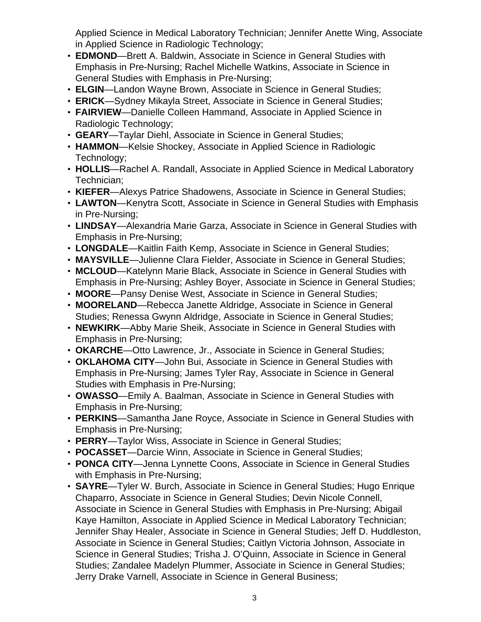Applied Science in Medical Laboratory Technician; Jennifer Anette Wing, Associate in Applied Science in Radiologic Technology;

- **EDMOND**—Brett A. Baldwin, Associate in Science in General Studies with Emphasis in Pre-Nursing; Rachel Michelle Watkins, Associate in Science in General Studies with Emphasis in Pre-Nursing;
- **ELGIN**—Landon Wayne Brown, Associate in Science in General Studies;
- **ERICK**—Sydney Mikayla Street, Associate in Science in General Studies;
- **FAIRVIEW**—Danielle Colleen Hammand, Associate in Applied Science in Radiologic Technology;
- **GEARY**—Taylar Diehl, Associate in Science in General Studies;
- **HAMMON**—Kelsie Shockey, Associate in Applied Science in Radiologic Technology;
- **HOLLIS**—Rachel A. Randall, Associate in Applied Science in Medical Laboratory Technician;
- **KIEFER**—Alexys Patrice Shadowens, Associate in Science in General Studies;
- **LAWTON**—Kenytra Scott, Associate in Science in General Studies with Emphasis in Pre-Nursing;
- **LINDSAY**—Alexandria Marie Garza, Associate in Science in General Studies with Emphasis in Pre-Nursing;
- **LONGDALE**—Kaitlin Faith Kemp, Associate in Science in General Studies;
- **MAYSVILLE**—Julienne Clara Fielder, Associate in Science in General Studies;
- **MCLOUD**—Katelynn Marie Black, Associate in Science in General Studies with Emphasis in Pre-Nursing; Ashley Boyer, Associate in Science in General Studies;
- **MOORE**—Pansy Denise West, Associate in Science in General Studies;
- **MOORELAND**—Rebecca Janette Aldridge, Associate in Science in General Studies; Renessa Gwynn Aldridge, Associate in Science in General Studies;
- **NEWKIRK**—Abby Marie Sheik, Associate in Science in General Studies with Emphasis in Pre-Nursing;
- **OKARCHE**—Otto Lawrence, Jr., Associate in Science in General Studies;
- **OKLAHOMA CITY**—John Bui, Associate in Science in General Studies with Emphasis in Pre-Nursing; James Tyler Ray, Associate in Science in General Studies with Emphasis in Pre-Nursing;
- **OWASSO**—Emily A. Baalman, Associate in Science in General Studies with Emphasis in Pre-Nursing;
- **PERKINS**—Samantha Jane Royce, Associate in Science in General Studies with Emphasis in Pre-Nursing;
- **PERRY**—Taylor Wiss, Associate in Science in General Studies;
- **POCASSET**—Darcie Winn, Associate in Science in General Studies;
- **PONCA CITY**—Jenna Lynnette Coons, Associate in Science in General Studies with Emphasis in Pre-Nursing;
- **SAYRE**—Tyler W. Burch, Associate in Science in General Studies; Hugo Enrique Chaparro, Associate in Science in General Studies; Devin Nicole Connell, Associate in Science in General Studies with Emphasis in Pre-Nursing; Abigail Kaye Hamilton, Associate in Applied Science in Medical Laboratory Technician; Jennifer Shay Healer, Associate in Science in General Studies; Jeff D. Huddleston, Associate in Science in General Studies; Caitlyn Victoria Johnson, Associate in Science in General Studies; Trisha J. O'Quinn, Associate in Science in General Studies; Zandalee Madelyn Plummer, Associate in Science in General Studies; Jerry Drake Varnell, Associate in Science in General Business;